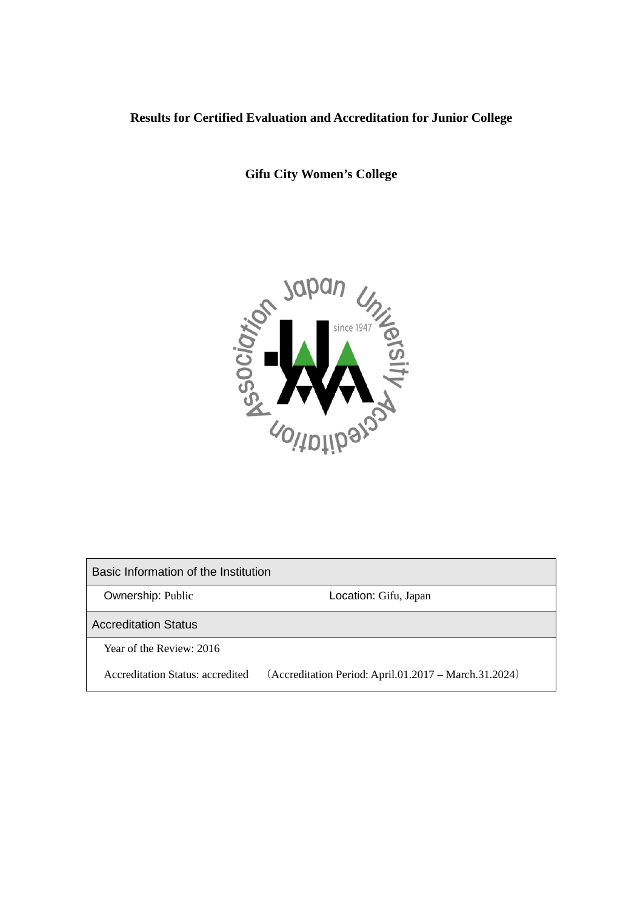# **Results for Certified Evaluation and Accreditation for Junior College**

**Gifu City Women's College**



Basic Information of the Institution

**Ownership: Public Community Constraints: Constraints: Constraints: Constraints: Constraints: Constraints: Constraints: Constraints: Constraints: Constraints: Constraints: Constraints: Constraints: Constraints: Constraints** 

Accreditation Status

Year of the Review: 2016

Accreditation Status: accredited (Accreditation Period: April.01.2017 – March.31.2024)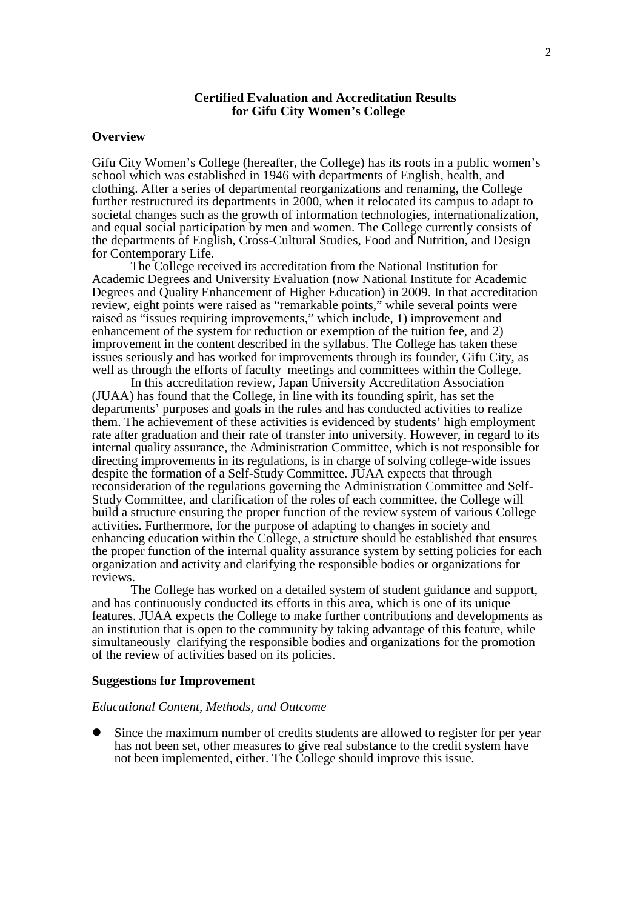#### **Certified Evaluation and Accreditation Results for Gifu City Women's College**

### **Overview**

Gifu City Women's College (hereafter, the College) has its roots in a public women's school which was established in 1946 with departments of English, health, and clothing. After a series of departmental reorganizations and renaming, the College further restructured its departments in 2000, when it relocated its campus to adapt to societal changes such as the growth of information technologies, internationalization, and equal social participation by men and women. The College currently consists of the departments of English, Cross-Cultural Studies, Food and Nutrition, and Design for Contemporary Life.

The College received its accreditation from the National Institution for Academic Degrees and University Evaluation (now National Institute for Academic Degrees and Quality Enhancement of Higher Education) in 2009. In that accreditation review, eight points were raised as "remarkable points," while several points were raised as "issues requiring improvements," which include, 1) improvement and enhancement of the system for reduction or exemption of the tuition fee, and 2) improvement in the content described in the syllabus. The College has taken these issues seriously and has worked for improvements through its founder, Gifu City, as well as through the efforts of faculty meetings and committees within the College.

In this accreditation review, Japan University Accreditation Association (JUAA) has found that the College, in line with its founding spirit, has set the departments' purposes and goals in the rules and has conducted activities to realize them. The achievement of these activities is evidenced by students' high employment rate after graduation and their rate of transfer into university. However, in regard to its internal quality assurance, the Administration Committee, which is not responsible for directing improvements in its regulations, is in charge of solving college-wide issues despite the formation of a Self-Study Committee. JUAA expects that through reconsideration of the regulations governing the Administration Committee and Self-Study Committee, and clarification of the roles of each committee, the College will build a structure ensuring the proper function of the review system of various College activities. Furthermore, for the purpose of adapting to changes in society and enhancing education within the College, a structure should be established that ensures the proper function of the internal quality assurance system by setting policies for each organization and activity and clarifying the responsible bodies or organizations for reviews.

The College has worked on a detailed system of student guidance and support, and has continuously conducted its efforts in this area, which is one of its unique features. JUAA expects the College to make further contributions and developments as an institution that is open to the community by taking advantage of this feature, while simultaneously clarifying the responsible bodies and organizations for the promotion of the review of activities based on its policies.

#### **Suggestions for Improvement**

#### *Educational Content, Methods, and Outcome*

 Since the maximum number of credits students are allowed to register for per year has not been set, other measures to give real substance to the credit system have not been implemented, either. The College should improve this issue.